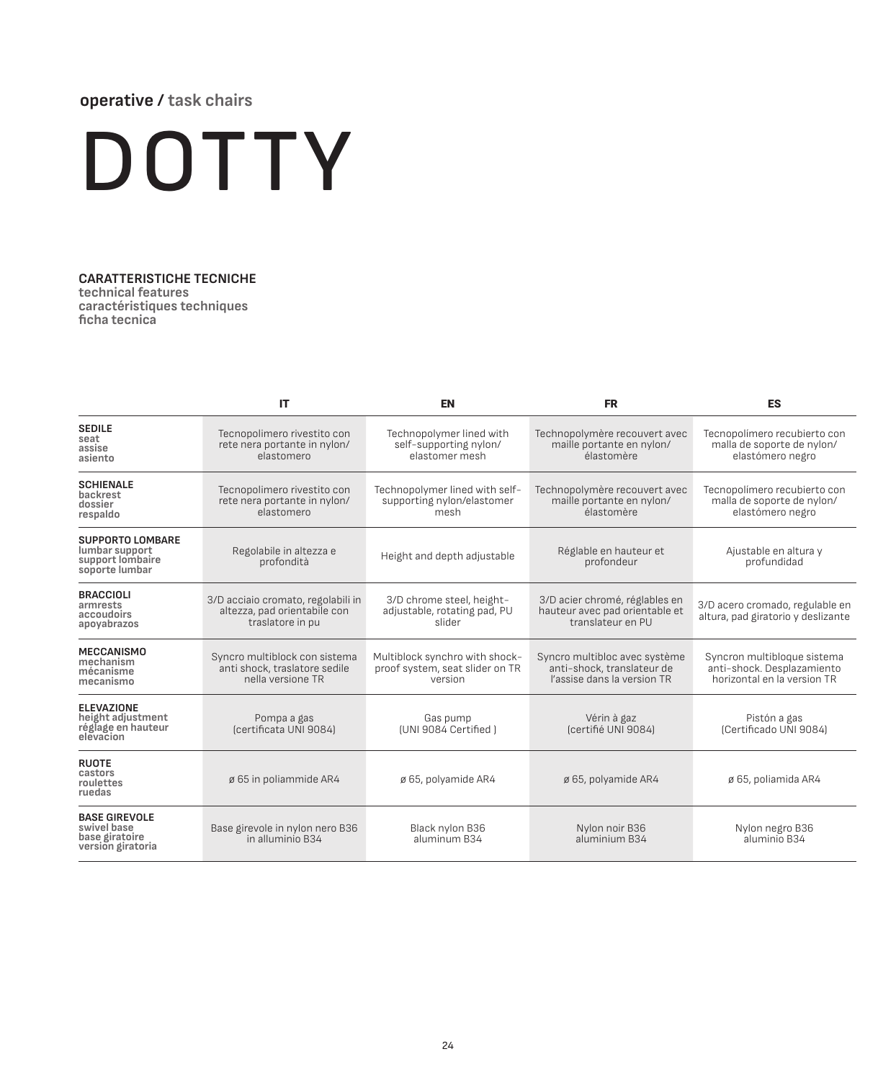## **operative / task chairs**

## DOTTY

## **CARATTERISTICHE TECNICHE**

**technical features caractéristiques techniques ficha tecnica**

|                                                                                 | IT                                                                                     | <b>EN</b>                                                                    | <b>FR</b>                                                                                  | <b>ES</b>                                                                                |  |  |
|---------------------------------------------------------------------------------|----------------------------------------------------------------------------------------|------------------------------------------------------------------------------|--------------------------------------------------------------------------------------------|------------------------------------------------------------------------------------------|--|--|
| <b>SEDILE</b><br>seat<br>assise<br>asiento                                      | Tecnopolimero rivestito con<br>rete nera portante in nylon/<br>elastomero              | Technopolymer lined with<br>self-supporting nylon/<br>elastomer mesh         | Technopolymère recouvert avec<br>maille portante en nylon/<br>élastomère                   | Tecnopolímero recubierto con<br>malla de soporte de nylon/<br>elastómero negro           |  |  |
| <b>SCHIENALE</b><br>backrest<br>dossier<br>respaldo                             | Tecnopolimero rivestito con<br>rete nera portante in nylon/<br>elastomero              | Technopolymer lined with self-<br>supporting nylon/elastomer<br>mesh         | Technopolymère recouvert avec<br>maille portante en nylon/<br>élastomère                   | Tecnopolímero recubierto con<br>malla de soporte de nylon/<br>elastómero negro           |  |  |
| <b>SUPPORTO LOMBARE</b><br>lumbar support<br>support lombaire<br>soporte lumbar | Regolabile in altezza e<br>profondità                                                  | Height and depth adjustable                                                  | Réglable en hauteur et<br>profondeur                                                       | Ajustable en altura y<br>profundidad                                                     |  |  |
| <b>BRACCIOLI</b><br>armrests<br>accoudoirs<br>apoyabrazos                       | 3/D acciaio cromato, regolabili in<br>altezza, pad orientabile con<br>traslatore in pu | 3/D chrome steel, height-<br>adjustable, rotating pad, PU<br>slider          | 3/D acier chromé, réglables en<br>hauteur avec pad orientable et<br>translateur en PU      | 3/D acero cromado, regulable en<br>altura, pad giratorio y deslizante                    |  |  |
| <b>MECCANISMO</b><br>mechanism<br>mécanisme<br>mecanismo                        | Syncro multiblock con sistema<br>anti shock, traslatore sedile<br>nella versione TR    | Multiblock synchro with shock-<br>proof system, seat slider on TR<br>version | Syncro multibloc avec système<br>anti-shock, translateur de<br>l'assise dans la version TR | Syncron multibloque sistema<br>anti-shock. Desplazamiento<br>horizontal en la version TR |  |  |
| <b>ELEVAZIONE</b><br>height adjustment<br>réglage en hauteur<br>elevacion       | Pompa a gas<br>(certificata UNI 9084)                                                  | Gas pump<br>(UNI 9084 Certified)                                             | Vérin à gaz<br>(certifié UNI 9084)                                                         | Pistón a gas<br>(Certificado UNI 9084)                                                   |  |  |
| <b>RUOTE</b><br>castors<br>roulettes<br>ruedas                                  | ø 65 in poliammide AR4                                                                 | ø 65, polyamide AR4                                                          | ø 65, polyamide AR4                                                                        | ø 65, poliamida AR4                                                                      |  |  |
| <b>BASE GIREVOLE</b><br>swivel base<br>base giratoire<br>version giratoria      | Base girevole in nylon nero B36<br>in alluminio B34                                    | Black nylon B36<br>aluminum B34                                              | Nylon noir B36<br>aluminium B34                                                            | Nylon negro B36<br>aluminio B34                                                          |  |  |